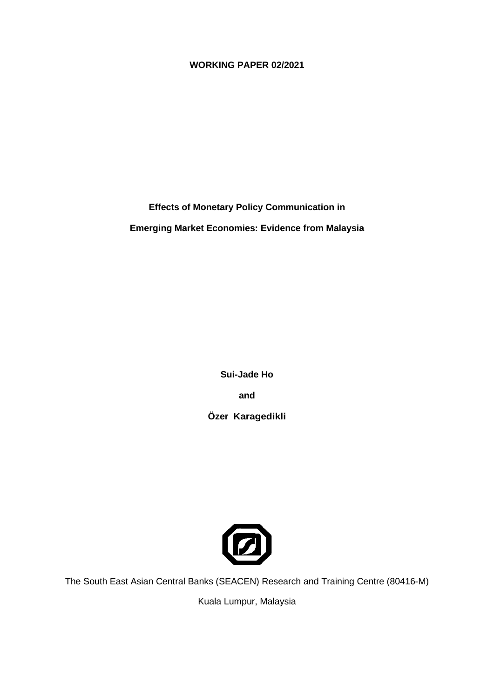#### **WORKING PAPER 02/2021**

**Effects of Monetary Policy Communication in**

**Emerging Market Economies: Evidence from Malaysia**

**Sui-Jade Ho**

**and** 

**Özer Karagedikli**



The South East Asian Central Banks (SEACEN) Research and Training Centre (80416-M)

Kuala Lumpur, Malaysia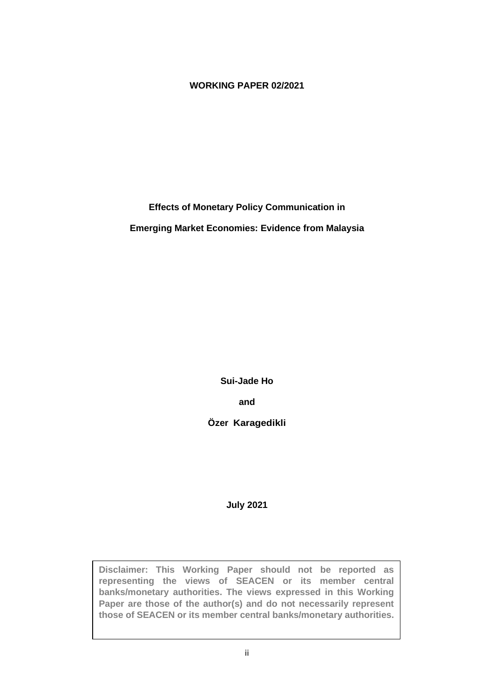#### **WORKING PAPER 02/2021**

**Effects of Monetary Policy Communication in**

**Emerging Market Economies: Evidence from Malaysia**

**Sui-Jade Ho**

**and** 

**Özer Karagedikli**

**July 2021**

**Disclaimer: This Working Paper should not be reported as representing the views of SEACEN or its member central banks/monetary authorities. The views expressed in this Working Paper are those of the author(s) and do not necessarily represent those of SEACEN or its member central banks/monetary authorities.**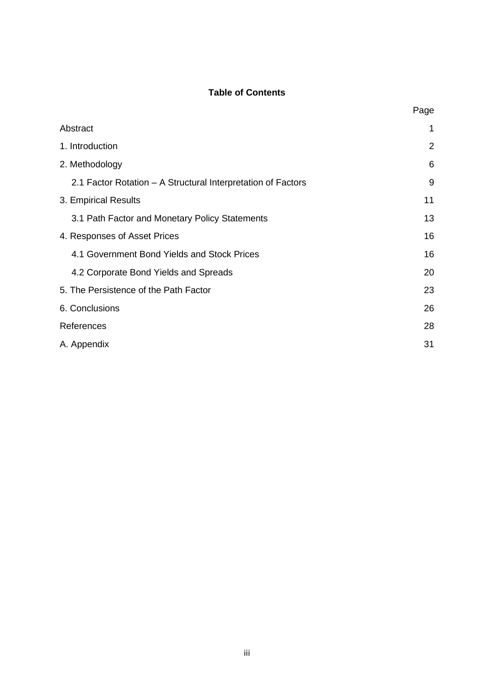#### **Table of Contents**

|                                                              | Page           |
|--------------------------------------------------------------|----------------|
| Abstract                                                     | 1              |
| 1. Introduction                                              | $\overline{2}$ |
| 2. Methodology                                               | 6              |
| 2.1 Factor Rotation – A Structural Interpretation of Factors | 9              |
| 3. Empirical Results                                         | 11             |
| 3.1 Path Factor and Monetary Policy Statements               | 13             |
| 4. Responses of Asset Prices                                 | 16             |
| 4.1 Government Bond Yields and Stock Prices                  | 16             |
| 4.2 Corporate Bond Yields and Spreads                        | 20             |
| 5. The Persistence of the Path Factor                        | 23             |
| 6. Conclusions                                               | 26             |
| References                                                   | 28             |
| A. Appendix                                                  | 31             |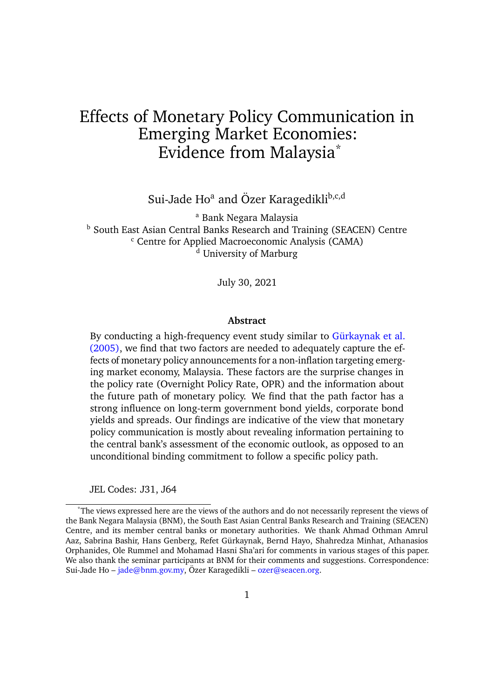## Effects of Monetary Policy Communication in Emerging Market Economies: Evidence from Malaysia\*

Sui-Jade Ho<sup>a</sup> and Özer Karagedikli<sup>b,c,d</sup>

<sup>a</sup> Bank Negara Malaysia b South East Asian Central Banks Research and Training (SEACEN) Centre <sup>c</sup> Centre for Applied Macroeconomic Analysis (CAMA) <sup>d</sup> University of Marburg

July 30, 2021

#### **Abstract**

By conducting a high-frequency event study similar to Gürkaynak et al. (2005), we find that two factors are needed to adequately capture the effects of monetary policy announcements for a non-inflation targeting emerging market economy, Malaysia. These factors are the surprise changes in the policy rate (Overnight Policy Rate, OPR) and the information about the future path of monetary policy. We find that the path factor has a strong influence on long-term government bond yields, corporate bond yields and spreads. Our findings are indicative of the view that monetary policy communication is mostly about revealing information pertaining to the central bank's assessment of the economic outlook, as opposed to an unconditional binding commitment to follow a specific policy path.

JEL Codes: J31, J64

<sup>\*</sup>The views expressed here are the views of the authors and do not necessarily represent the views of the Bank Negara Malaysia (BNM), the South East Asian Central Banks Research and Training (SEACEN) Centre, and its member central banks or monetary authorities. We thank Ahmad Othman Amrul Aaz, Sabrina Bashir, Hans Genberg, Refet Gürkaynak, Bernd Hayo, Shahredza Minhat, Athanasios Orphanides, Ole Rummel and Mohamad Hasni Sha'ari for comments in various stages of this paper. We also thank the seminar participants at BNM for their comments and suggestions. Correspondence: Sui-Jade Ho – jade@bnm.gov.my, Özer Karagedikli – ozer@seacen.org.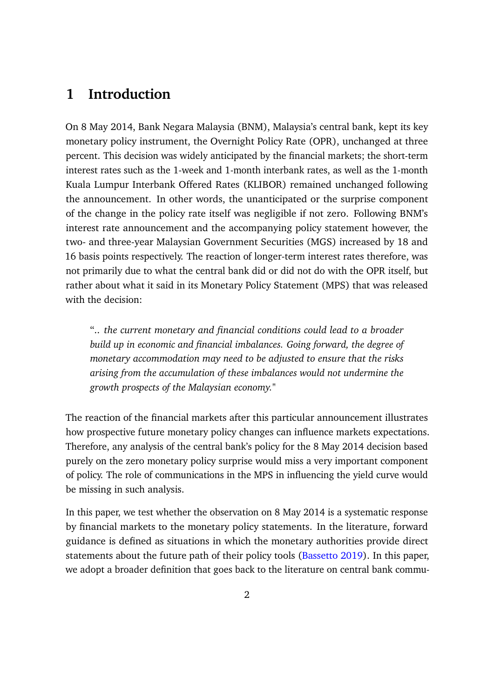## **1 Introduction**

On 8 May 2014, Bank Negara Malaysia (BNM), Malaysia's central bank, kept its key monetary policy instrument, the Overnight Policy Rate (OPR), unchanged at three percent. This decision was widely anticipated by the financial markets; the short-term interest rates such as the 1-week and 1-month interbank rates, as well as the 1-month Kuala Lumpur Interbank Offered Rates (KLIBOR) remained unchanged following the announcement. In other words, the unanticipated or the surprise component of the change in the policy rate itself was negligible if not zero. Following BNM's interest rate announcement and the accompanying policy statement however, the two- and three-year Malaysian Government Securities (MGS) increased by 18 and 16 basis points respectively. The reaction of longer-term interest rates therefore, was not primarily due to what the central bank did or did not do with the OPR itself, but rather about what it said in its Monetary Policy Statement (MPS) that was released with the decision:

".. *the current monetary and financial conditions could lead to a broader build up in economic and financial imbalances. Going forward, the degree of monetary accommodation may need to be adjusted to ensure that the risks arising from the accumulation of these imbalances would not undermine the growth prospects of the Malaysian economy.*"

The reaction of the financial markets after this particular announcement illustrates how prospective future monetary policy changes can influence markets expectations. Therefore, any analysis of the central bank's policy for the 8 May 2014 decision based purely on the zero monetary policy surprise would miss a very important component of policy. The role of communications in the MPS in influencing the yield curve would be missing in such analysis.

In this paper, we test whether the observation on 8 May 2014 is a systematic response by financial markets to the monetary policy statements. In the literature, forward guidance is defined as situations in which the monetary authorities provide direct statements about the future path of their policy tools (Bassetto 2019). In this paper, we adopt a broader definition that goes back to the literature on central bank commu-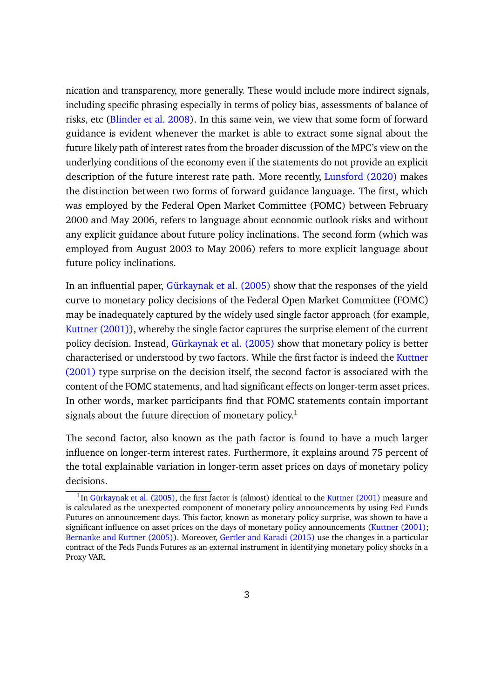nication and transparency, more generally. These would include more indirect signals, including specific phrasing especially in terms of policy bias, assessments of balance of risks, etc (Blinder et al. 2008). In this same vein, we view that some form of forward guidance is evident whenever the market is able to extract some signal about the future likely path of interest rates from the broader discussion of the MPC's view on the underlying conditions of the economy even if the statements do not provide an explicit description of the future interest rate path. More recently, Lunsford (2020) makes the distinction between two forms of forward guidance language. The first, which was employed by the Federal Open Market Committee (FOMC) between February 2000 and May 2006, refers to language about economic outlook risks and without any explicit guidance about future policy inclinations. The second form (which was employed from August 2003 to May 2006) refers to more explicit language about future policy inclinations.

In an influential paper, Gürkaynak et al. (2005) show that the responses of the yield curve to monetary policy decisions of the Federal Open Market Committee (FOMC) may be inadequately captured by the widely used single factor approach (for example, Kuttner (2001)), whereby the single factor captures the surprise element of the current policy decision. Instead, Gürkaynak et al. (2005) show that monetary policy is better characterised or understood by two factors. While the first factor is indeed the Kuttner (2001) type surprise on the decision itself, the second factor is associated with the content of the FOMC statements, and had significant effects on longer-term asset prices. In other words, market participants find that FOMC statements contain important signals about the future direction of monetary policy.<sup>1</sup>

The second factor, also known as the path factor is found to have a much larger influence on longer-term interest rates. Furthermore, it explains around 75 percent of the total explainable variation in longer-term asset prices on days of monetary policy decisions.

<sup>&</sup>lt;sup>1</sup>In Gürkaynak et al. (2005), the first factor is (almost) identical to the Kuttner (2001) measure and is calculated as the unexpected component of monetary policy announcements by using Fed Funds Futures on announcement days. This factor, known as monetary policy surprise, was shown to have a significant influence on asset prices on the days of monetary policy announcements (Kuttner (2001); Bernanke and Kuttner (2005)). Moreover, Gertler and Karadi (2015) use the changes in a particular contract of the Feds Funds Futures as an external instrument in identifying monetary policy shocks in a Proxy VAR.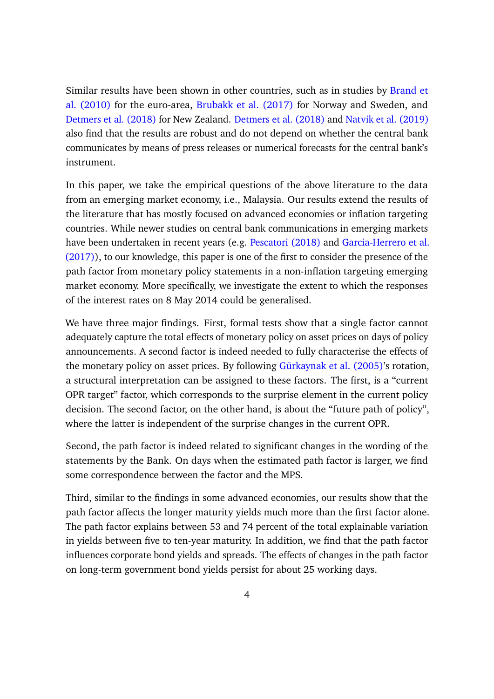Similar results have been shown in other countries, such as in studies by Brand et al. (2010) for the euro-area, Brubakk et al. (2017) for Norway and Sweden, and Detmers et al. (2018) for New Zealand. Detmers et al. (2018) and Natvik et al. (2019) also find that the results are robust and do not depend on whether the central bank communicates by means of press releases or numerical forecasts for the central bank's instrument.

In this paper, we take the empirical questions of the above literature to the data from an emerging market economy, i.e., Malaysia. Our results extend the results of the literature that has mostly focused on advanced economies or inflation targeting countries. While newer studies on central bank communications in emerging markets have been undertaken in recent years (e.g. Pescatori (2018) and Garcia-Herrero et al. (2017)), to our knowledge, this paper is one of the first to consider the presence of the path factor from monetary policy statements in a non-inflation targeting emerging market economy. More specifically, we investigate the extent to which the responses of the interest rates on 8 May 2014 could be generalised.

We have three major findings. First, formal tests show that a single factor cannot adequately capture the total effects of monetary policy on asset prices on days of policy announcements. A second factor is indeed needed to fully characterise the effects of the monetary policy on asset prices. By following Gürkaynak et al. (2005)'s rotation, a structural interpretation can be assigned to these factors. The first, is a "current OPR target" factor, which corresponds to the surprise element in the current policy decision. The second factor, on the other hand, is about the "future path of policy", where the latter is independent of the surprise changes in the current OPR.

Second, the path factor is indeed related to significant changes in the wording of the statements by the Bank. On days when the estimated path factor is larger, we find some correspondence between the factor and the MPS.

Third, similar to the findings in some advanced economies, our results show that the path factor affects the longer maturity yields much more than the first factor alone. The path factor explains between 53 and 74 percent of the total explainable variation in yields between five to ten-year maturity. In addition, we find that the path factor influences corporate bond yields and spreads. The effects of changes in the path factor on long-term government bond yields persist for about 25 working days.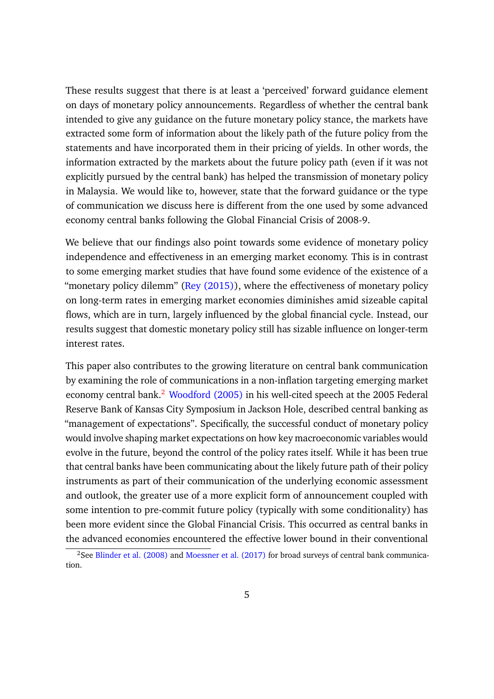These results suggest that there is at least a 'perceived' forward guidance element on days of monetary policy announcements. Regardless of whether the central bank intended to give any guidance on the future monetary policy stance, the markets have extracted some form of information about the likely path of the future policy from the statements and have incorporated them in their pricing of yields. In other words, the information extracted by the markets about the future policy path (even if it was not explicitly pursued by the central bank) has helped the transmission of monetary policy in Malaysia. We would like to, however, state that the forward guidance or the type of communication we discuss here is different from the one used by some advanced economy central banks following the Global Financial Crisis of 2008-9.

We believe that our findings also point towards some evidence of monetary policy independence and effectiveness in an emerging market economy. This is in contrast to some emerging market studies that have found some evidence of the existence of a "monetary policy dilemm" (Rey  $(2015)$ ), where the effectiveness of monetary policy on long-term rates in emerging market economies diminishes amid sizeable capital flows, which are in turn, largely influenced by the global financial cycle. Instead, our results suggest that domestic monetary policy still has sizable influence on longer-term interest rates.

This paper also contributes to the growing literature on central bank communication by examining the role of communications in a non-inflation targeting emerging market economy central bank.<sup>2</sup> Woodford (2005) in his well-cited speech at the 2005 Federal Reserve Bank of Kansas City Symposium in Jackson Hole, described central banking as "management of expectations". Specifically, the successful conduct of monetary policy would involve shaping market expectations on how key macroeconomic variables would evolve in the future, beyond the control of the policy rates itself. While it has been true that central banks have been communicating about the likely future path of their policy instruments as part of their communication of the underlying economic assessment and outlook, the greater use of a more explicit form of announcement coupled with some intention to pre-commit future policy (typically with some conditionality) has been more evident since the Global Financial Crisis. This occurred as central banks in the advanced economies encountered the effective lower bound in their conventional

<sup>&</sup>lt;sup>2</sup>See Blinder et al. (2008) and Moessner et al. (2017) for broad surveys of central bank communication.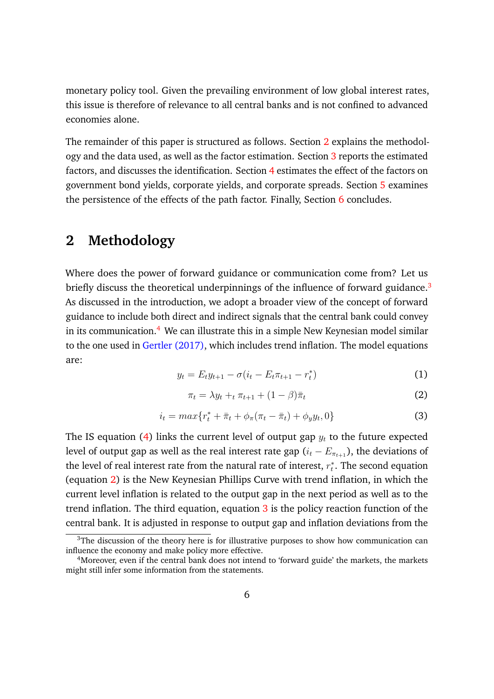monetary policy tool. Given the prevailing environment of low global interest rates, this issue is therefore of relevance to all central banks and is not confined to advanced economies alone.

The remainder of this paper is structured as follows. Section 2 explains the methodology and the data used, as well as the factor estimation. Section 3 reports the estimated factors, and discusses the identification. Section 4 estimates the effect of the factors on government bond yields, corporate yields, and corporate spreads. Section 5 examines the persistence of the effects of the path factor. Finally, Section  $6$  concludes.

## **2 Methodology**

Where does the power of forward guidance or communication come from? Let us briefly discuss the theoretical underpinnings of the influence of forward guidance.<sup>3</sup> As discussed in the introduction, we adopt a broader view of the concept of forward guidance to include both direct and indirect signals that the central bank could convey in its communication.<sup>4</sup> We can illustrate this in a simple New Keynesian model similar to the one used in Gertler (2017), which includes trend inflation. The model equations are:

$$
y_t = E_t y_{t+1} - \sigma(i_t - E_t \pi_{t+1} - r_t^*)
$$
\n(1)

$$
\pi_t = \lambda y_t + t \pi_{t+1} + (1 - \beta)\bar{\pi}_t \tag{2}
$$

$$
i_t = max\{r_t^* + \bar{\pi}_t + \phi_\pi(\pi_t - \bar{\pi}_t) + \phi_y y_t, 0\}
$$
\n(3)

The IS equation (4) links the current level of output gap  $y_t$  to the future expected level of output gap as well as the real interest rate gap  $(i_t - E_{\pi_{t+1}})$ , the deviations of the level of real interest rate from the natural rate of interest,  $r_t^*$ . The second equation (equation 2) is the New Keynesian Phillips Curve with trend inflation, in which the current level inflation is related to the output gap in the next period as well as to the trend inflation. The third equation, equation  $3$  is the policy reaction function of the central bank. It is adjusted in response to output gap and inflation deviations from the

 $3$ The discussion of the theory here is for illustrative purposes to show how communication can influence the economy and make policy more effective.

<sup>&</sup>lt;sup>4</sup>Moreover, even if the central bank does not intend to 'forward guide' the markets, the markets might still infer some information from the statements.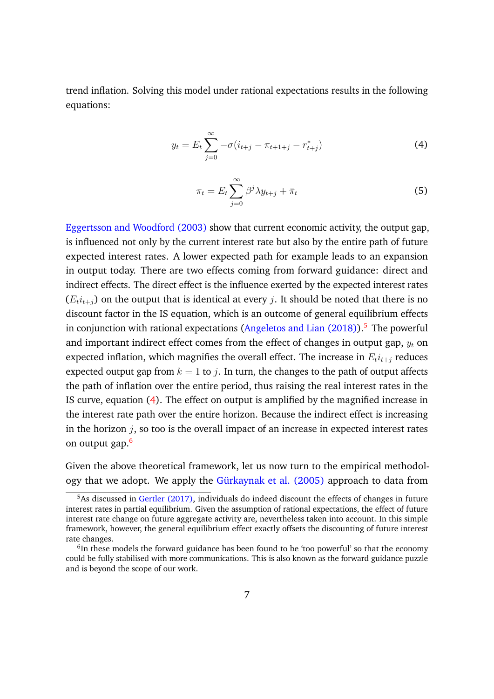trend inflation. Solving this model under rational expectations results in the following equations:

$$
y_t = E_t \sum_{j=0}^{\infty} -\sigma(i_{t+j} - \pi_{t+1+j} - r_{t+j}^*)
$$
 (4)

$$
\pi_t = E_t \sum_{j=0}^{\infty} \beta^j \lambda y_{t+j} + \bar{\pi}_t
$$
\n(5)

Eggertsson and Woodford (2003) show that current economic activity, the output gap, is influenced not only by the current interest rate but also by the entire path of future expected interest rates. A lower expected path for example leads to an expansion in output today. There are two effects coming from forward guidance: direct and indirect effects. The direct effect is the influence exerted by the expected interest rates  $(E_t i_{t+1})$  on the output that is identical at every *j*. It should be noted that there is no discount factor in the IS equation, which is an outcome of general equilibrium effects in conjunction with rational expectations (Angeletos and Lian  $(2018)$ ).<sup>5</sup> The powerful and important indirect effect comes from the effect of changes in output gap,  $y_t$  on expected inflation, which magnifies the overall effect. The increase in  $E_t i_{t+1}$  reduces expected output gap from  $k = 1$  to j. In turn, the changes to the path of output affects the path of inflation over the entire period, thus raising the real interest rates in the IS curve, equation (4). The effect on output is amplified by the magnified increase in the interest rate path over the entire horizon. Because the indirect effect is increasing in the horizon  $j$ , so too is the overall impact of an increase in expected interest rates on output gap.<sup>6</sup>

Given the above theoretical framework, let us now turn to the empirical methodology that we adopt. We apply the Gürkaynak et al. (2005) approach to data from

<sup>&</sup>lt;sup>5</sup>As discussed in Gertler (2017), individuals do indeed discount the effects of changes in future interest rates in partial equilibrium. Given the assumption of rational expectations, the effect of future interest rate change on future aggregate activity are, nevertheless taken into account. In this simple framework, however, the general equilibrium effect exactly offsets the discounting of future interest rate changes.

<sup>&</sup>lt;sup>6</sup>In these models the forward guidance has been found to be 'too powerful' so that the economy could be fully stabilised with more communications. This is also known as the forward guidance puzzle and is beyond the scope of our work.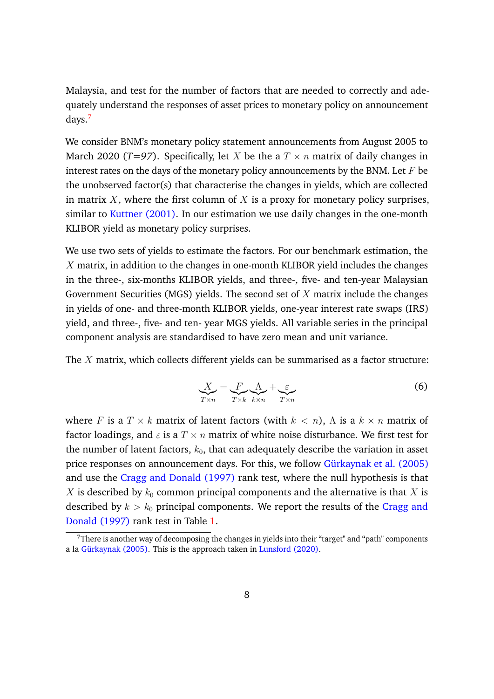Malaysia, and test for the number of factors that are needed to correctly and adequately understand the responses of asset prices to monetary policy on announcement days.<sup>7</sup>

We consider BNM's monetary policy statement announcements from August 2005 to March 2020 (*T*=97). Specifically, let *X* be the a  $T \times n$  matrix of daily changes in interest rates on the days of the monetary policy announcements by the BNM. Let  $F$  be the unobserved factor(s) that characterise the changes in yields, which are collected in matrix  $X$ , where the first column of  $X$  is a proxy for monetary policy surprises, similar to Kuttner (2001). In our estimation we use daily changes in the one-month KLIBOR yield as monetary policy surprises.

We use two sets of yields to estimate the factors. For our benchmark estimation, the  $X$  matrix, in addition to the changes in one-month KLIBOR yield includes the changes in the three-, six-months KLIBOR yields, and three-, five- and ten-year Malaysian Government Securities (MGS) yields. The second set of  $X$  matrix include the changes in yields of one- and three-month KLIBOR yields, one-year interest rate swaps (IRS) yield, and three-, five- and ten- year MGS yields. All variable series in the principal component analysis are standardised to have zero mean and unit variance.

The  $X$  matrix, which collects different yields can be summarised as a factor structure:

$$
X_{\overline{Tx}} = \underbrace{F}_{\overline{Tx}} \underbrace{\Lambda}_{k \times n} + \underbrace{\varepsilon}_{\overline{Tx}} \tag{6}
$$

where F is a  $T \times k$  matrix of latent factors (with  $k < n$ ),  $\Lambda$  is a  $k \times n$  matrix of factor loadings, and  $\varepsilon$  is a  $T \times n$  matrix of white noise disturbance. We first test for the number of latent factors,  $k_0$ , that can adequately describe the variation in asset price responses on announcement days. For this, we follow Gürkaynak et al. (2005) and use the Cragg and Donald (1997) rank test, where the null hypothesis is that  $X$  is described by  $k_0$  common principal components and the alternative is that  $X$  is described by  $k > k_0$  principal components. We report the results of the Cragg and Donald (1997) rank test in Table 1.

 $7$ There is another way of decomposing the changes in yields into their "target" and "path" components a la Gürkaynak (2005). This is the approach taken in Lunsford (2020).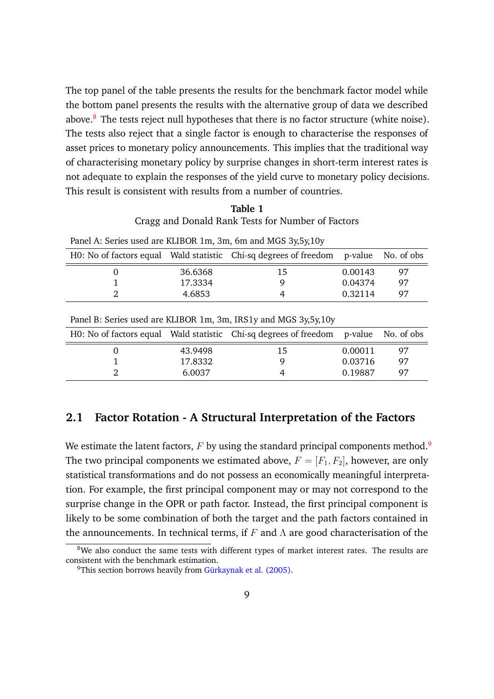The top panel of the table presents the results for the benchmark factor model while the bottom panel presents the results with the alternative group of data we described above. $8$  The tests reject null hypotheses that there is no factor structure (white noise). The tests also reject that a single factor is enough to characterise the responses of asset prices to monetary policy announcements. This implies that the traditional way of characterising monetary policy by surprise changes in short-term interest rates is not adequate to explain the responses of the yield curve to monetary policy decisions. This result is consistent with results from a number of countries.

| Table 1                                           |
|---------------------------------------------------|
| Cragg and Donald Rank Tests for Number of Factors |

|                             |         | Panel A: Series used are KLIBOR 1m, 3m, 6m and MGS 3y, 5y, 10y                      |         |    |
|-----------------------------|---------|-------------------------------------------------------------------------------------|---------|----|
|                             |         | H0: No of factors equal Wald statistic Chi-sq degrees of freedom p-value No. of obs |         |    |
| $\mathbf{U}$                | 36.6368 | 15                                                                                  | 0.00143 | 97 |
|                             | 17.3334 |                                                                                     | 0.04374 | 97 |
| $\mathcal{D}_{\mathcal{L}}$ | 4.6853  |                                                                                     | 0.32114 | 97 |
|                             |         |                                                                                     |         |    |

|         | H0: No of factors equal Wald statistic Chi-sq degrees of freedom p-value No. of obs |         |     |
|---------|-------------------------------------------------------------------------------------|---------|-----|
| 43.9498 | 15                                                                                  | 0.00011 | 97  |
| 17.8332 |                                                                                     | 0.03716 | 97  |
| 6.0037  |                                                                                     | 0.19887 | -97 |

#### **2.1 Factor Rotation - A Structural Interpretation of the Factors**

We estimate the latent factors,  $F$  by using the standard principal components method.<sup>9</sup> The two principal components we estimated above,  $F = [F_1, F_2]$ , however, are only statistical transformations and do not possess an economically meaningful interpretation. For example, the first principal component may or may not correspond to the surprise change in the OPR or path factor. Instead, the first principal component is likely to be some combination of both the target and the path factors contained in the announcements. In technical terms, if  $F$  and  $\Lambda$  are good characterisation of the

 $8$ We also conduct the same tests with different types of market interest rates. The results are consistent with the benchmark estimation.

<sup>&</sup>lt;sup>9</sup>This section borrows heavily from Gürkaynak et al.  $(2005)$ .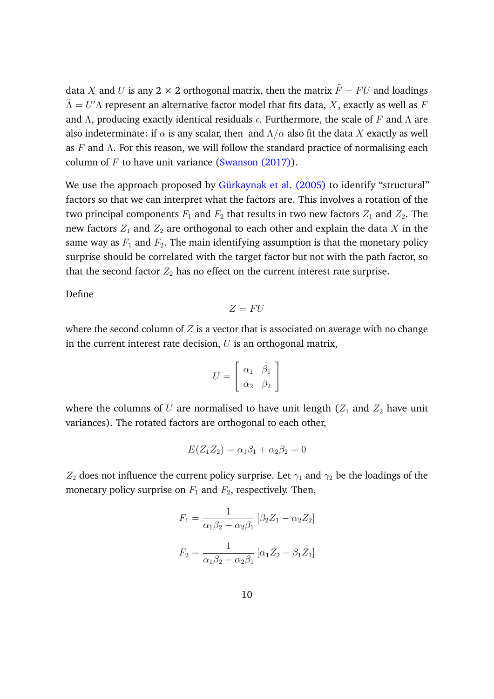data X and U is any 2  $\times$  2 orthogonal matrix, then the matrix  $\tilde{F} = FU$  and loadings  $\tilde{\Lambda} = U^{\prime} \Lambda$  represent an alternative factor model that fits data,  $X$ , exactly as well as  $F$ and Λ, producing exactly identical residuals  $\epsilon$ . Furthermore, the scale of F and Λ are also indeterminate: if  $\alpha$  is any scalar, then and  $\Lambda/\alpha$  also fit the data X exactly as well as F and  $\Lambda$ . For this reason, we will follow the standard practice of normalising each column of  $F$  to have unit variance (Swanson (2017)).

We use the approach proposed by Gürkaynak et al. (2005) to identify "structural" factors so that we can interpret what the factors are. This involves a rotation of the two principal components  $F_1$  and  $F_2$  that results in two new factors  $Z_1$  and  $Z_2$ . The new factors  $Z_1$  and  $Z_2$  are orthogonal to each other and explain the data X in the same way as  $F_1$  and  $F_2$ . The main identifying assumption is that the monetary policy surprise should be correlated with the target factor but not with the path factor, so that the second factor  $Z_2$  has no effect on the current interest rate surprise.

Define

$$
Z=FU
$$

where the second column of  $Z$  is a vector that is associated on average with no change in the current interest rate decision,  $U$  is an orthogonal matrix,

$$
U = \left[ \begin{array}{cc} \alpha_1 & \beta_1 \\ \alpha_2 & \beta_2 \end{array} \right]
$$

where the columns of  $U$  are normalised to have unit length ( $Z_1$  and  $Z_2$  have unit variances). The rotated factors are orthogonal to each other,

$$
E(Z_1 Z_2) = \alpha_1 \beta_1 + \alpha_2 \beta_2 = 0
$$

 $Z_2$  does not influence the current policy surprise. Let  $\gamma_1$  and  $\gamma_2$  be the loadings of the monetary policy surprise on  $F_1$  and  $F_2$ , respectively. Then,

$$
F_1 = \frac{1}{\alpha_1 \beta_2 - \alpha_2 \beta_1} [\beta_2 Z_1 - \alpha_2 Z_2]
$$
  

$$
F_2 = \frac{1}{\alpha_1 \beta_2 - \alpha_2 \beta_1} [\alpha_1 Z_2 - \beta_1 Z_1]
$$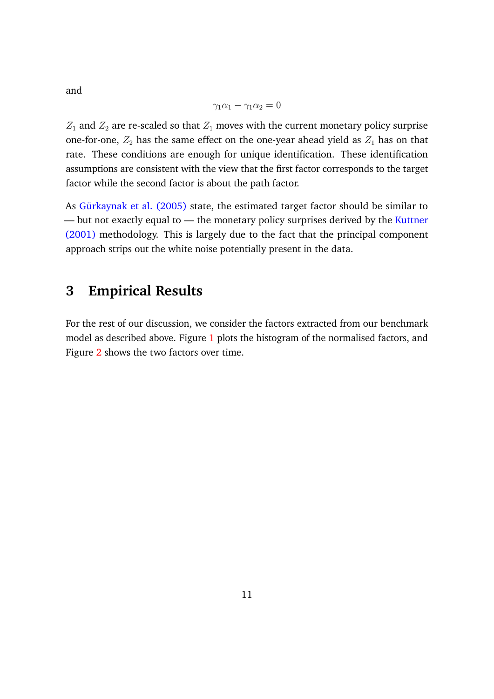$$
\gamma_1\alpha_1 - \gamma_1\alpha_2 = 0
$$

 $Z_1$  and  $Z_2$  are re-scaled so that  $Z_1$  moves with the current monetary policy surprise one-for-one,  $Z_2$  has the same effect on the one-year ahead yield as  $Z_1$  has on that rate. These conditions are enough for unique identification. These identification assumptions are consistent with the view that the first factor corresponds to the target factor while the second factor is about the path factor.

As Gürkaynak et al. (2005) state, the estimated target factor should be similar to — but not exactly equal to — the monetary policy surprises derived by the Kuttner (2001) methodology. This is largely due to the fact that the principal component approach strips out the white noise potentially present in the data.

## **3 Empirical Results**

For the rest of our discussion, we consider the factors extracted from our benchmark model as described above. Figure 1 plots the histogram of the normalised factors, and Figure 2 shows the two factors over time.

and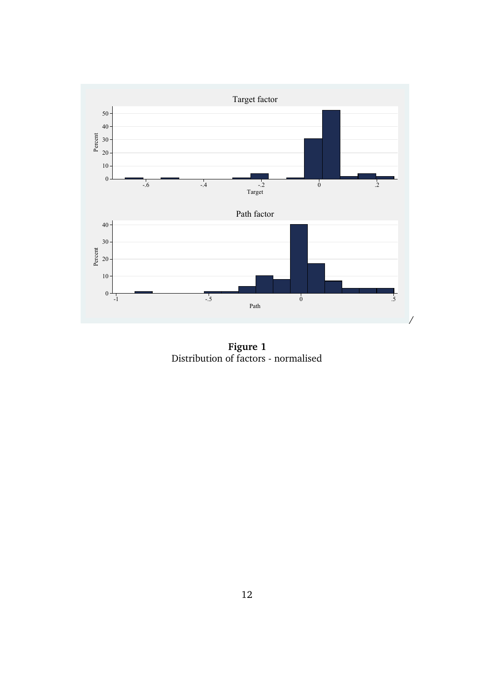

**Figure 1** Distribution of factors - normalised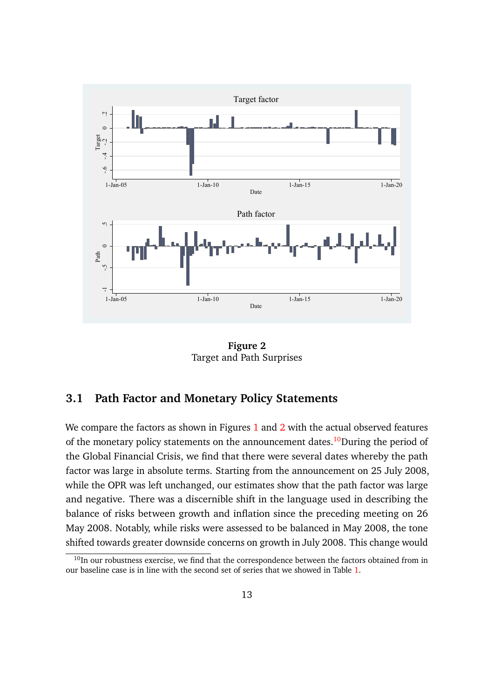

**Figure 2** Target and Path Surprises

#### **3.1 Path Factor and Monetary Policy Statements**

We compare the factors as shown in Figures 1 and 2 with the actual observed features of the monetary policy statements on the announcement dates.<sup>10</sup>During the period of the Global Financial Crisis, we find that there were several dates whereby the path factor was large in absolute terms. Starting from the announcement on 25 July 2008, while the OPR was left unchanged, our estimates show that the path factor was large and negative. There was a discernible shift in the language used in describing the balance of risks between growth and inflation since the preceding meeting on 26 May 2008. Notably, while risks were assessed to be balanced in May 2008, the tone shifted towards greater downside concerns on growth in July 2008. This change would

 $10$ In our robustness exercise, we find that the correspondence between the factors obtained from in our baseline case is in line with the second set of series that we showed in Table 1.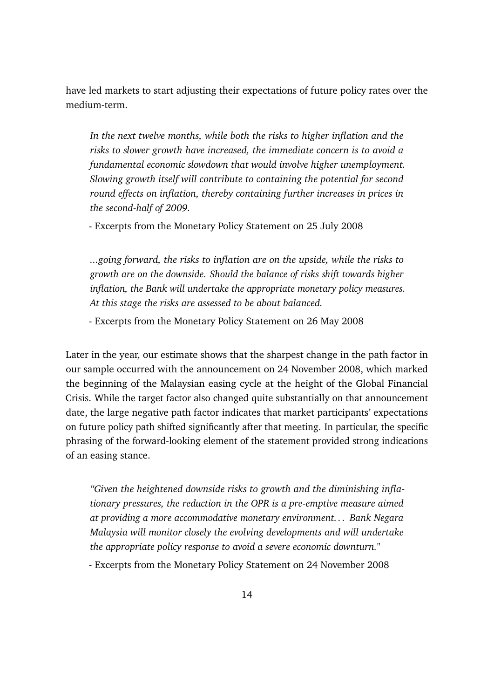have led markets to start adjusting their expectations of future policy rates over the medium-term.

*In the next twelve months, while both the risks to higher inflation and the risks to slower growth have increased, the immediate concern is to avoid a fundamental economic slowdown that would involve higher unemployment. Slowing growth itself will contribute to containing the potential for second round effects on inflation, thereby containing further increases in prices in the second-half of 2009.*

- Excerpts from the Monetary Policy Statement on 25 July 2008

*...going forward, the risks to inflation are on the upside, while the risks to growth are on the downside. Should the balance of risks shift towards higher inflation, the Bank will undertake the appropriate monetary policy measures. At this stage the risks are assessed to be about balanced.*

- Excerpts from the Monetary Policy Statement on 26 May 2008

Later in the year, our estimate shows that the sharpest change in the path factor in our sample occurred with the announcement on 24 November 2008, which marked the beginning of the Malaysian easing cycle at the height of the Global Financial Crisis. While the target factor also changed quite substantially on that announcement date, the large negative path factor indicates that market participants' expectations on future policy path shifted significantly after that meeting. In particular, the specific phrasing of the forward-looking element of the statement provided strong indications of an easing stance.

*"Given the heightened downside risks to growth and the diminishing inflationary pressures, the reduction in the OPR is a pre-emptive measure aimed at providing a more accommodative monetary environment. . . Bank Negara Malaysia will monitor closely the evolving developments and will undertake the appropriate policy response to avoid a severe economic downturn."*

- Excerpts from the Monetary Policy Statement on 24 November 2008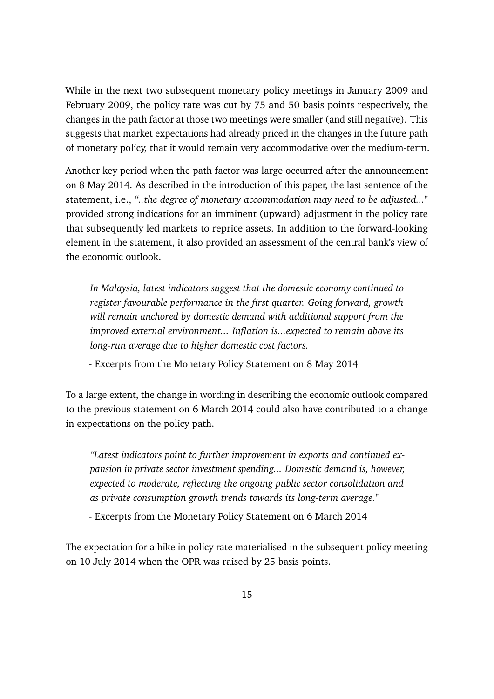While in the next two subsequent monetary policy meetings in January 2009 and February 2009, the policy rate was cut by 75 and 50 basis points respectively, the changes in the path factor at those two meetings were smaller (and still negative). This suggests that market expectations had already priced in the changes in the future path of monetary policy, that it would remain very accommodative over the medium-term.

Another key period when the path factor was large occurred after the announcement on 8 May 2014. As described in the introduction of this paper, the last sentence of the statement, i.e., *"..the degree of monetary accommodation may need to be adjusted..."* provided strong indications for an imminent (upward) adjustment in the policy rate that subsequently led markets to reprice assets. In addition to the forward-looking element in the statement, it also provided an assessment of the central bank's view of the economic outlook.

*In Malaysia, latest indicators suggest that the domestic economy continued to register favourable performance in the first quarter. Going forward, growth will remain anchored by domestic demand with additional support from the improved external environment... Inflation is...expected to remain above its long-run average due to higher domestic cost factors.*

- Excerpts from the Monetary Policy Statement on 8 May 2014

To a large extent, the change in wording in describing the economic outlook compared to the previous statement on 6 March 2014 could also have contributed to a change in expectations on the policy path.

*"Latest indicators point to further improvement in exports and continued expansion in private sector investment spending... Domestic demand is, however, expected to moderate, reflecting the ongoing public sector consolidation and as private consumption growth trends towards its long-term average."*

- Excerpts from the Monetary Policy Statement on 6 March 2014

The expectation for a hike in policy rate materialised in the subsequent policy meeting on 10 July 2014 when the OPR was raised by 25 basis points.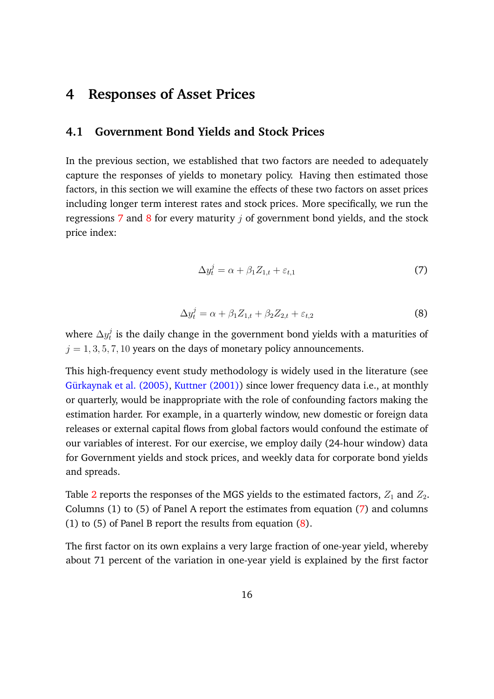## **4 Responses of Asset Prices**

#### **4.1 Government Bond Yields and Stock Prices**

In the previous section, we established that two factors are needed to adequately capture the responses of yields to monetary policy. Having then estimated those factors, in this section we will examine the effects of these two factors on asset prices including longer term interest rates and stock prices. More specifically, we run the regressions 7 and 8 for every maturity  $i$  of government bond yields, and the stock price index:

$$
\Delta y_t^j = \alpha + \beta_1 Z_{1,t} + \varepsilon_{t,1} \tag{7}
$$

$$
\Delta y_t^j = \alpha + \beta_1 Z_{1,t} + \beta_2 Z_{2,t} + \varepsilon_{t,2} \tag{8}
$$

where  $\Delta y^j_t$  $\frac{d}{dt}$  is the daily change in the government bond yields with a maturities of  $j = 1, 3, 5, 7, 10$  years on the days of monetary policy announcements.

This high-frequency event study methodology is widely used in the literature (see Gürkaynak et al. (2005), Kuttner (2001)) since lower frequency data i.e., at monthly or quarterly, would be inappropriate with the role of confounding factors making the estimation harder. For example, in a quarterly window, new domestic or foreign data releases or external capital flows from global factors would confound the estimate of our variables of interest. For our exercise, we employ daily (24-hour window) data for Government yields and stock prices, and weekly data for corporate bond yields and spreads.

Table 2 reports the responses of the MGS yields to the estimated factors,  $Z_1$  and  $Z_2$ . Columns (1) to (5) of Panel A report the estimates from equation (7) and columns (1) to (5) of Panel B report the results from equation (8).

The first factor on its own explains a very large fraction of one-year yield, whereby about 71 percent of the variation in one-year yield is explained by the first factor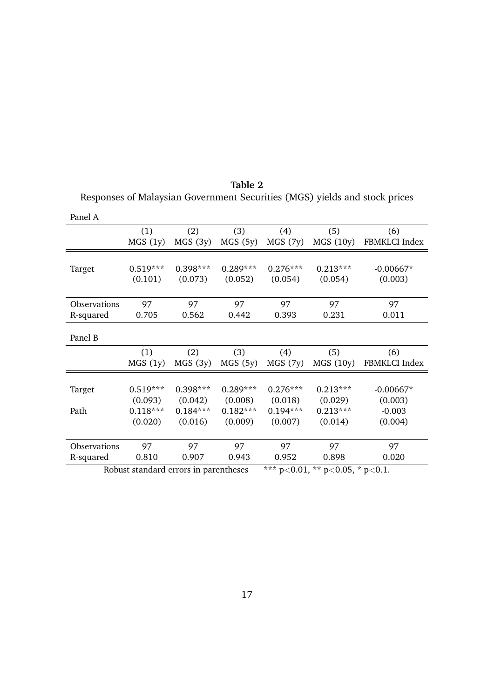| Panel A             |                                       |            |            |               |                           |               |
|---------------------|---------------------------------------|------------|------------|---------------|---------------------------|---------------|
|                     | (1)                                   | (2)        | (3)        | (4)           | (5)                       | (6)           |
|                     | MGS(1y)                               | MGS(3y)    | MGS(5y)    | MGS(7y)       | MGS(10y)                  | FBMKLCI Index |
|                     |                                       |            |            |               |                           |               |
| Target              | $0.519***$                            | $0.398***$ | $0.289***$ | $0.276***$    | $0.213***$                | $-0.00667*$   |
|                     | (0.101)                               | (0.073)    | (0.052)    | (0.054)       | (0.054)                   | (0.003)       |
|                     |                                       |            |            |               |                           |               |
| <b>Observations</b> | 97                                    | 97         | 97         | 97            | 97                        | 97            |
| R-squared           | 0.705                                 | 0.562      | 0.442      | 0.393         | 0.231                     | 0.011         |
|                     |                                       |            |            |               |                           |               |
| Panel B             |                                       |            |            |               |                           |               |
|                     | (1)                                   | (2)        | (3)        | (4)           | (5)                       | (6)           |
|                     | MGS(1y)                               | MGS(3y)    | MGS(5y)    | MGS(7y)       | MGS(10y)                  | FBMKLCI Index |
|                     |                                       |            |            |               |                           |               |
| Target              | $0.519***$                            | $0.398***$ | $0.289***$ | $0.276***$    | $0.213***$                | $-0.00667*$   |
|                     | (0.093)                               | (0.042)    | (0.008)    | (0.018)       | (0.029)                   | (0.003)       |
| Path                | $0.118***$                            | $0.184***$ | $0.182***$ | $0.194***$    | $0.213***$                | $-0.003$      |
|                     | (0.020)                               | (0.016)    | (0.009)    | (0.007)       | (0.014)                   | (0.004)       |
|                     |                                       |            |            |               |                           |               |
| Observations        | 97                                    | 97         | 97         | 97            | 97                        | 97            |
| R-squared           | 0.810                                 | 0.907      | 0.943      | 0.952         | 0.898                     | 0.020         |
|                     | Robust standard errors in parentheses |            |            | *** $n < 0.1$ | ** $n$ / 0.05 * $n$ / 0.1 |               |

| Table 2                                                                    |  |
|----------------------------------------------------------------------------|--|
| Responses of Malaysian Government Securities (MGS) yields and stock prices |  |

Panel A

Robust standard errors in parentheses \*\*\* p<0.01, \*\* p<0.05, \* p<0.1.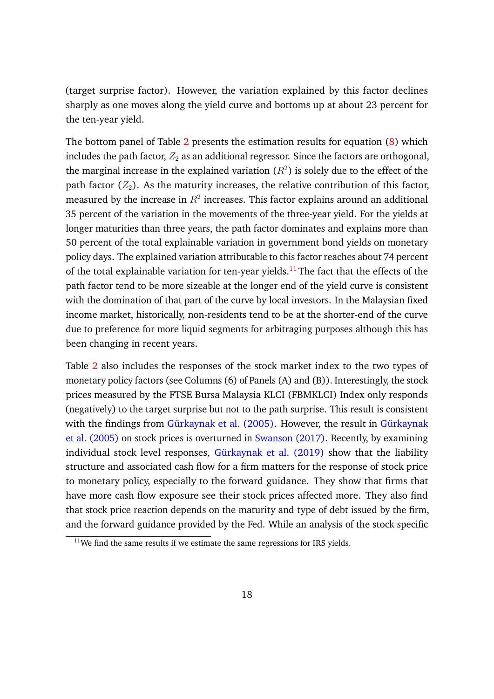(target surprise factor). However, the variation explained by this factor declines sharply as one moves along the yield curve and bottoms up at about 23 percent for the ten-year yield.

The bottom panel of Table 2 presents the estimation results for equation (8) which includes the path factor,  $Z_2$  as an additional regressor. Since the factors are orthogonal, the marginal increase in the explained variation  $(R^2)$  is solely due to the effect of the path factor  $(Z_2)$ . As the maturity increases, the relative contribution of this factor, measured by the increase in  $R^2$  increases. This factor explains around an additional 35 percent of the variation in the movements of the three-year yield. For the yields at longer maturities than three years, the path factor dominates and explains more than 50 percent of the total explainable variation in government bond yields on monetary policy days. The explained variation attributable to this factor reaches about 74 percent of the total explainable variation for ten-year yields.<sup>11</sup> The fact that the effects of the path factor tend to be more sizeable at the longer end of the yield curve is consistent with the domination of that part of the curve by local investors. In the Malaysian fixed income market, historically, non-residents tend to be at the shorter-end of the curve due to preference for more liquid segments for arbitraging purposes although this has been changing in recent years.

Table 2 also includes the responses of the stock market index to the two types of monetary policy factors (see Columns (6) of Panels (A) and (B)). Interestingly, the stock prices measured by the FTSE Bursa Malaysia KLCI (FBMKLCI) Index only responds (negatively) to the target surprise but not to the path surprise. This result is consistent with the findings from Gürkaynak et al. (2005). However, the result in Gürkaynak et al. (2005) on stock prices is overturned in Swanson (2017). Recently, by examining individual stock level responses, Gürkaynak et al. (2019) show that the liability structure and associated cash flow for a firm matters for the response of stock price to monetary policy, especially to the forward guidance. They show that firms that have more cash flow exposure see their stock prices affected more. They also find that stock price reaction depends on the maturity and type of debt issued by the firm, and the forward guidance provided by the Fed. While an analysis of the stock specific

 $11$ We find the same results if we estimate the same regressions for IRS yields.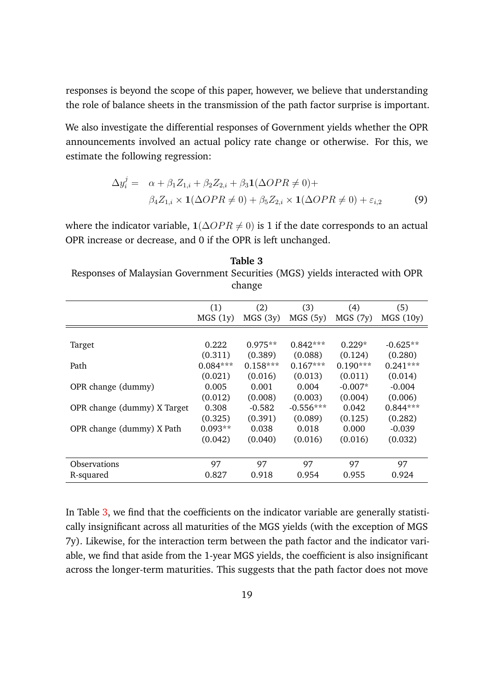responses is beyond the scope of this paper, however, we believe that understanding the role of balance sheets in the transmission of the path factor surprise is important.

We also investigate the differential responses of Government yields whether the OPR announcements involved an actual policy rate change or otherwise. For this, we estimate the following regression:

$$
\Delta y_i^j = \alpha + \beta_1 Z_{1,i} + \beta_2 Z_{2,i} + \beta_3 \mathbf{1} (\Delta OPR \neq 0) +
$$
  

$$
\beta_4 Z_{1,i} \times \mathbf{1} (\Delta OPR \neq 0) + \beta_5 Z_{2,i} \times \mathbf{1} (\Delta OPR \neq 0) + \varepsilon_{i,2}
$$
 (9)

where the indicator variable,  $1(\Delta OPR \neq 0)$  is 1 if the date corresponds to an actual OPR increase or decrease, and 0 if the OPR is left unchanged.

**Table 3** Responses of Malaysian Government Securities (MGS) yields interacted with OPR change

|                             | (1)        | (2)        | (3)         | (4)        | (5)        |
|-----------------------------|------------|------------|-------------|------------|------------|
|                             | MGS(1y)    | MGS(3y)    | MGS(5y)     | MGS(7y)    | MGS(10y)   |
|                             |            |            |             |            |            |
| Target                      | 0.222      | $0.975**$  | $0.842***$  | $0.229*$   | $-0.625**$ |
|                             | (0.311)    | (0.389)    | (0.088)     | (0.124)    | (0.280)    |
| Path                        | $0.084***$ | $0.158***$ | $0.167***$  | $0.190***$ | $0.241***$ |
|                             | (0.021)    | (0.016)    | (0.013)     | (0.011)    | (0.014)    |
| OPR change (dummy)          | 0.005      | 0.001      | 0.004       | $-0.007*$  | $-0.004$   |
|                             | (0.012)    | (0.008)    | (0.003)     | (0.004)    | (0.006)    |
| OPR change (dummy) X Target | 0.308      | $-0.582$   | $-0.556***$ | 0.042      | $0.844***$ |
|                             | (0.325)    | (0.391)    | (0.089)     | (0.125)    | (0.282)    |
| OPR change (dummy) X Path   | $0.093**$  | 0.038      | 0.018       | 0.000      | $-0.039$   |
|                             | (0.042)    | (0.040)    | (0.016)     | (0.016)    | (0.032)    |
|                             |            |            |             |            |            |
| <b>Observations</b>         | 97         | 97         | 97          | 97         | 97         |
| R-squared                   | 0.827      | 0.918      | 0.954       | 0.955      | 0.924      |

In Table 3, we find that the coefficients on the indicator variable are generally statistically insignificant across all maturities of the MGS yields (with the exception of MGS 7y). Likewise, for the interaction term between the path factor and the indicator variable, we find that aside from the 1-year MGS yields, the coefficient is also insignificant across the longer-term maturities. This suggests that the path factor does not move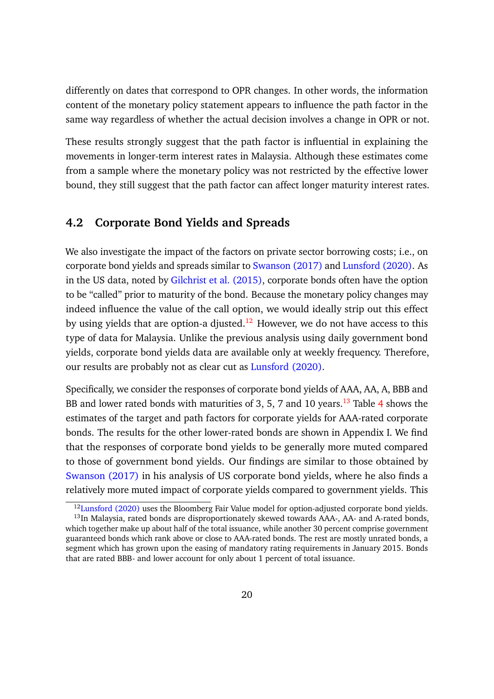differently on dates that correspond to OPR changes. In other words, the information content of the monetary policy statement appears to influence the path factor in the same way regardless of whether the actual decision involves a change in OPR or not.

These results strongly suggest that the path factor is influential in explaining the movements in longer-term interest rates in Malaysia. Although these estimates come from a sample where the monetary policy was not restricted by the effective lower bound, they still suggest that the path factor can affect longer maturity interest rates.

### **4.2 Corporate Bond Yields and Spreads**

We also investigate the impact of the factors on private sector borrowing costs; i.e., on corporate bond yields and spreads similar to Swanson (2017) and Lunsford (2020). As in the US data, noted by Gilchrist et al. (2015), corporate bonds often have the option to be "called" prior to maturity of the bond. Because the monetary policy changes may indeed influence the value of the call option, we would ideally strip out this effect by using yields that are option-a djusted.<sup>12</sup> However, we do not have access to this type of data for Malaysia. Unlike the previous analysis using daily government bond yields, corporate bond yields data are available only at weekly frequency. Therefore, our results are probably not as clear cut as Lunsford (2020).

Specifically, we consider the responses of corporate bond yields of AAA, AA, A, BBB and BB and lower rated bonds with maturities of 3, 5, 7 and 10 years.<sup>13</sup> Table 4 shows the estimates of the target and path factors for corporate yields for AAA-rated corporate bonds. The results for the other lower-rated bonds are shown in Appendix I. We find that the responses of corporate bond yields to be generally more muted compared to those of government bond yields. Our findings are similar to those obtained by Swanson (2017) in his analysis of US corporate bond yields, where he also finds a relatively more muted impact of corporate yields compared to government yields. This

<sup>&</sup>lt;sup>12</sup>Lunsford (2020) uses the Bloomberg Fair Value model for option-adjusted corporate bond yields.

<sup>&</sup>lt;sup>13</sup>In Malaysia, rated bonds are disproportionately skewed towards AAA-, AA- and A-rated bonds, which together make up about half of the total issuance, while another 30 percent comprise government guaranteed bonds which rank above or close to AAA-rated bonds. The rest are mostly unrated bonds, a segment which has grown upon the easing of mandatory rating requirements in January 2015. Bonds that are rated BBB- and lower account for only about 1 percent of total issuance.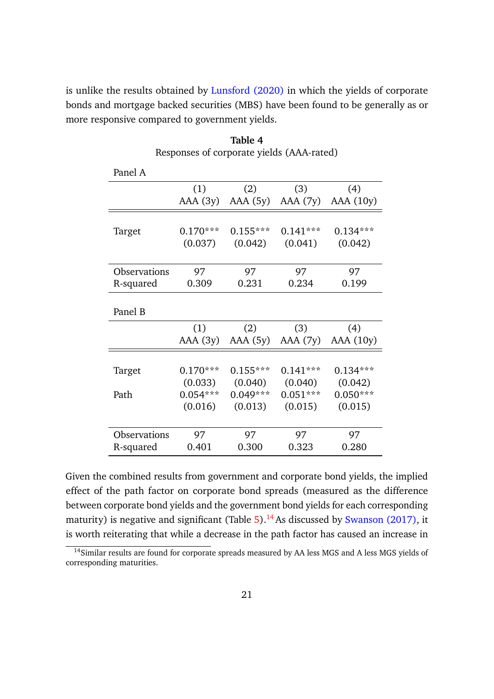is unlike the results obtained by Lunsford (2020) in which the yields of corporate bonds and mortgage backed securities (MBS) have been found to be generally as or more responsive compared to government yields.

| Panel A      |            |            |            |            |
|--------------|------------|------------|------------|------------|
|              | (1)        | (2)        | (3)        | (4)        |
|              | AAA(3y)    | $AAA$ (5y) | AAA (7y)   | AAA(10y)   |
|              |            |            |            |            |
| Target       | $0.170***$ | $0.155***$ | $0.141***$ | $0.134***$ |
|              | (0.037)    | (0.042)    | (0.041)    | (0.042)    |
|              |            |            |            |            |
| Observations | 97         | 97         | 97         | 97         |
| R-squared    | 0.309      | 0.231      | 0.234      | 0.199      |
|              |            |            |            |            |
| Panel B      |            |            |            |            |
|              | (1)        | (2)        | (3)        | (4)        |
|              | AAA(3y)    | AAA (5y)   | AAA (7y)   | AAA (10y)  |
|              |            |            |            |            |
| Target       | $0.170***$ | $0.155***$ | $0.141***$ | $0.134***$ |
|              | (0.033)    | (0.040)    | (0.040)    | (0.042)    |
| Path         | $0.054***$ | $0.049***$ | $0.051***$ | $0.050***$ |
|              | (0.016)    | (0.013)    | (0.015)    | (0.015)    |
|              |            |            |            |            |
| Observations | 97         | 97         | 97         | 97         |
| R-squared    | 0.401      | 0.300      | 0.323      | 0.280      |

**Table 4** Responses of corporate yields (AAA-rated)

Given the combined results from government and corporate bond yields, the implied effect of the path factor on corporate bond spreads (measured as the difference between corporate bond yields and the government bond yields for each corresponding maturity) is negative and significant (Table  $5$ ).<sup>14</sup> As discussed by Swanson (2017), it is worth reiterating that while a decrease in the path factor has caused an increase in

<sup>&</sup>lt;sup>14</sup>Similar results are found for corporate spreads measured by AA less MGS and A less MGS yields of corresponding maturities.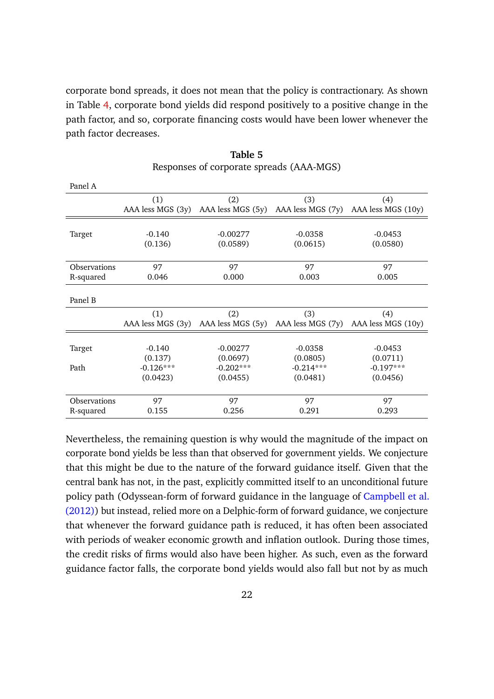corporate bond spreads, it does not mean that the policy is contractionary. As shown in Table 4, corporate bond yields did respond positively to a positive change in the path factor, and so, corporate financing costs would have been lower whenever the path factor decreases.

| Panel A             |                   |                   |                   |                    |
|---------------------|-------------------|-------------------|-------------------|--------------------|
|                     | (1)               | (2)               | (3)               | (4)                |
|                     | AAA less MGS (3y) | AAA less MGS (5y) | AAA less MGS (7y) | AAA less MGS (10y) |
|                     |                   |                   |                   |                    |
| Target              | $-0.140$          | $-0.00277$        | $-0.0358$         | $-0.0453$          |
|                     | (0.136)           | (0.0589)          | (0.0615)          | (0.0580)           |
|                     |                   |                   |                   |                    |
| <b>Observations</b> | 97                | 97                | 97                | 97                 |
| R-squared           | 0.046             | 0.000             | 0.003             | 0.005              |
|                     |                   |                   |                   |                    |
| Panel B             |                   |                   |                   |                    |
|                     | (1)               | (2)               | (3)               | (4)                |
|                     | AAA less MGS (3y) | AAA less MGS (5y) | AAA less MGS (7y) | AAA less MGS (10y) |
|                     |                   |                   |                   |                    |
| Target              | $-0.140$          | $-0.00277$        | $-0.0358$         | $-0.0453$          |
|                     | (0.137)           | (0.0697)          | (0.0805)          | (0.0711)           |
| Path                | $-0.126***$       | $-0.202***$       | $-0.214***$       | $-0.197***$        |
|                     | (0.0423)          | (0.0455)          | (0.0481)          | (0.0456)           |
|                     |                   |                   |                   |                    |
| Observations        | 97                | 97                | 97                | 97                 |
| R-squared           | 0.155             | 0.256             | 0.291             | 0.293              |

| Table 5                                  |  |
|------------------------------------------|--|
| Responses of corporate spreads (AAA-MGS) |  |

Nevertheless, the remaining question is why would the magnitude of the impact on corporate bond yields be less than that observed for government yields. We conjecture that this might be due to the nature of the forward guidance itself. Given that the central bank has not, in the past, explicitly committed itself to an unconditional future policy path (Odyssean-form of forward guidance in the language of Campbell et al. (2012)) but instead, relied more on a Delphic-form of forward guidance, we conjecture that whenever the forward guidance path is reduced, it has often been associated with periods of weaker economic growth and inflation outlook. During those times, the credit risks of firms would also have been higher. As such, even as the forward guidance factor falls, the corporate bond yields would also fall but not by as much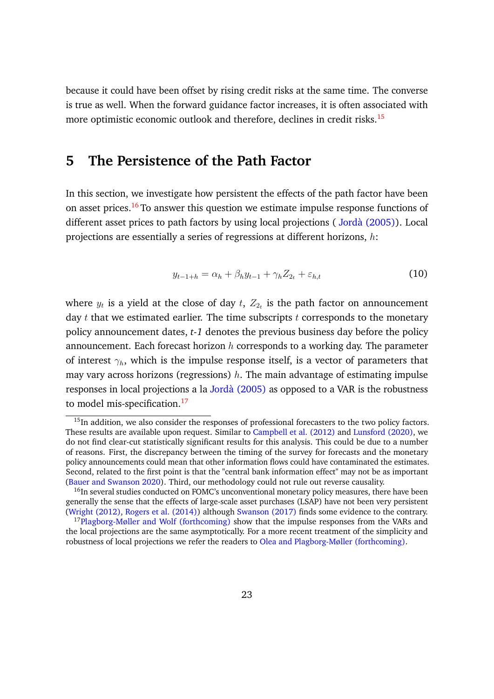because it could have been offset by rising credit risks at the same time. The converse is true as well. When the forward guidance factor increases, it is often associated with more optimistic economic outlook and therefore, declines in credit risks.<sup>15</sup>

## **5 The Persistence of the Path Factor**

In this section, we investigate how persistent the effects of the path factor have been on asset prices.<sup>16</sup> To answer this question we estimate impulse response functions of different asset prices to path factors by using local projections ( Jordà (2005)). Local projections are essentially a series of regressions at different horizons,  $h$ :

$$
y_{t-1+h} = \alpha_h + \beta_h y_{t-1} + \gamma_h Z_{2_t} + \varepsilon_{h,t} \tag{10}
$$

where  $y_t$  is a yield at the close of day  $t,~Z_{2_t}$  is the path factor on announcement day  $t$  that we estimated earlier. The time subscripts  $t$  corresponds to the monetary policy announcement dates, *t-1* denotes the previous business day before the policy announcement. Each forecast horizon  $h$  corresponds to a working day. The parameter of interest  $\gamma_h$ , which is the impulse response itself, is a vector of parameters that may vary across horizons (regressions)  $h$ . The main advantage of estimating impulse responses in local projections a la Jordà (2005) as opposed to a VAR is the robustness to model mis-specification.<sup>17</sup>

<sup>&</sup>lt;sup>15</sup>In addition, we also consider the responses of professional forecasters to the two policy factors. These results are available upon request. Similar to Campbell et al. (2012) and Lunsford (2020), we do not find clear-cut statistically significant results for this analysis. This could be due to a number of reasons. First, the discrepancy between the timing of the survey for forecasts and the monetary policy announcements could mean that other information flows could have contaminated the estimates. Second, related to the first point is that the "central bank information effect" may not be as important (Bauer and Swanson 2020). Third, our methodology could not rule out reverse causality.

<sup>&</sup>lt;sup>16</sup>In several studies conducted on FOMC's unconventional monetary policy measures, there have been generally the sense that the effects of large-scale asset purchases (LSAP) have not been very persistent (Wright (2012), Rogers et al. (2014)) although Swanson (2017) finds some evidence to the contrary.

<sup>&</sup>lt;sup>17</sup>Plagborg-Møller and Wolf (forthcoming) show that the impulse responses from the VARs and the local projections are the same asymptotically. For a more recent treatment of the simplicity and robustness of local projections we refer the readers to Olea and Plagborg-Møller (forthcoming).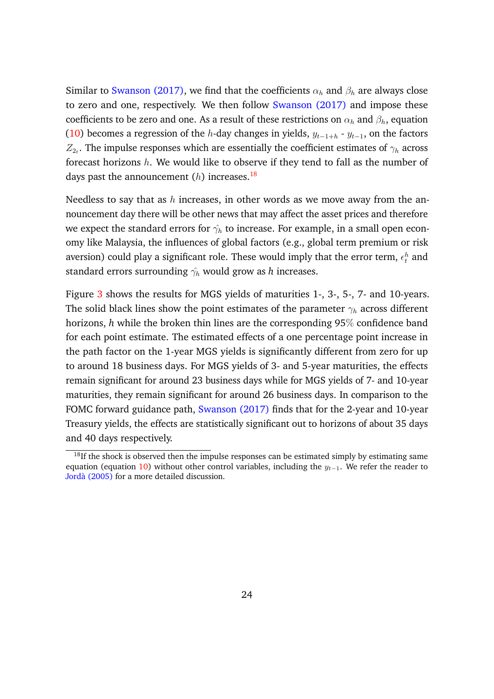Similar to Swanson (2017), we find that the coefficients  $\alpha_h$  and  $\beta_h$  are always close to zero and one, respectively. We then follow Swanson (2017) and impose these coefficients to be zero and one. As a result of these restrictions on  $\alpha_h$  and  $\beta_h$ , equation (10) becomes a regression of the h-day changes in yields,  $y_{t-1+h}$  -  $y_{t-1}$ , on the factors  $Z_{2_t}$ . The impulse responses which are essentially the coefficient estimates of  $\gamma_h$  across forecast horizons  $h$ . We would like to observe if they tend to fall as the number of days past the announcement  $(h)$  increases.<sup>18</sup>

Needless to say that as h increases, in other words as we move away from the announcement day there will be other news that may affect the asset prices and therefore we expect the standard errors for  $\hat{\gamma_h}$  to increase. For example, in a small open economy like Malaysia, the influences of global factors (e.g., global term premium or risk aversion) could play a significant role. These would imply that the error term,  $\epsilon_t^h$  and standard errors surrounding  $\hat{\gamma_h}$  would grow as *h* increases.

Figure 3 shows the results for MGS yields of maturities 1-, 3-, 5-, 7- and 10-years. The solid black lines show the point estimates of the parameter  $\gamma_h$  across different horizons, *h* while the broken thin lines are the corresponding 95% confidence band for each point estimate. The estimated effects of a one percentage point increase in the path factor on the 1-year MGS yields is significantly different from zero for up to around 18 business days. For MGS yields of 3- and 5-year maturities, the effects remain significant for around 23 business days while for MGS yields of 7- and 10-year maturities, they remain significant for around 26 business days. In comparison to the FOMC forward guidance path, Swanson (2017) finds that for the 2-year and 10-year Treasury yields, the effects are statistically significant out to horizons of about 35 days and 40 days respectively.

 $18$ If the shock is observed then the impulse responses can be estimated simply by estimating same equation (equation 10) without other control variables, including the  $y_{t-1}$ . We refer the reader to Jordà (2005) for a more detailed discussion.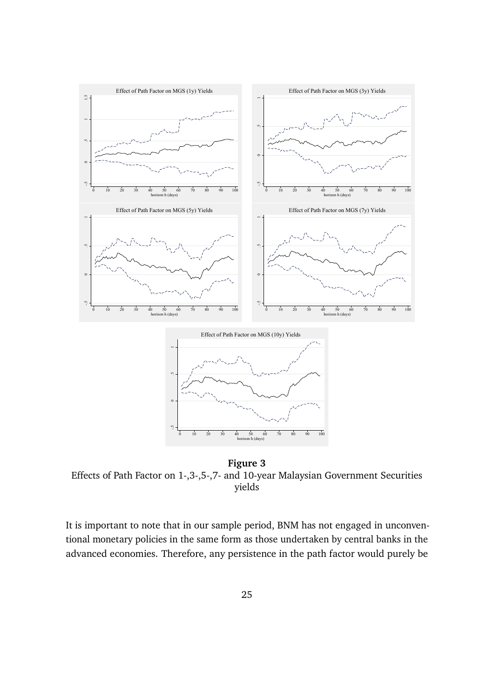

**Figure 3** Effects of Path Factor on 1-,3-,5-,7- and 10-year Malaysian Government Securities yields

It is important to note that in our sample period, BNM has not engaged in unconventional monetary policies in the same form as those undertaken by central banks in the advanced economies. Therefore, any persistence in the path factor would purely be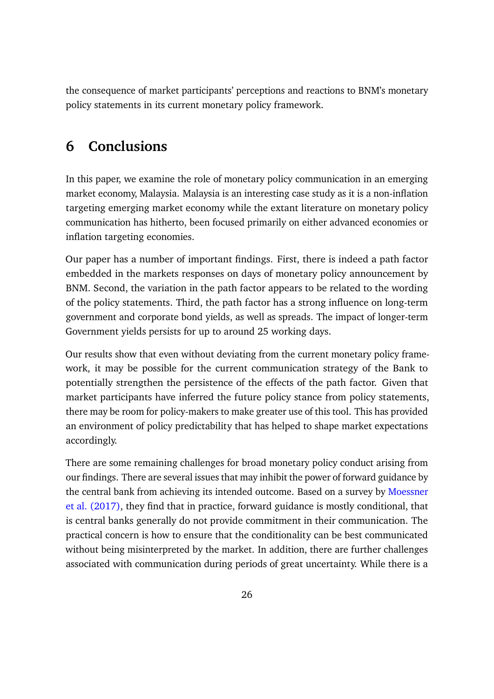the consequence of market participants' perceptions and reactions to BNM's monetary policy statements in its current monetary policy framework.

## **6 Conclusions**

In this paper, we examine the role of monetary policy communication in an emerging market economy, Malaysia. Malaysia is an interesting case study as it is a non-inflation targeting emerging market economy while the extant literature on monetary policy communication has hitherto, been focused primarily on either advanced economies or inflation targeting economies.

Our paper has a number of important findings. First, there is indeed a path factor embedded in the markets responses on days of monetary policy announcement by BNM. Second, the variation in the path factor appears to be related to the wording of the policy statements. Third, the path factor has a strong influence on long-term government and corporate bond yields, as well as spreads. The impact of longer-term Government yields persists for up to around 25 working days.

Our results show that even without deviating from the current monetary policy framework, it may be possible for the current communication strategy of the Bank to potentially strengthen the persistence of the effects of the path factor. Given that market participants have inferred the future policy stance from policy statements, there may be room for policy-makers to make greater use of this tool. This has provided an environment of policy predictability that has helped to shape market expectations accordingly.

There are some remaining challenges for broad monetary policy conduct arising from our findings. There are several issues that may inhibit the power of forward guidance by the central bank from achieving its intended outcome. Based on a survey by Moessner et al. (2017), they find that in practice, forward guidance is mostly conditional, that is central banks generally do not provide commitment in their communication. The practical concern is how to ensure that the conditionality can be best communicated without being misinterpreted by the market. In addition, there are further challenges associated with communication during periods of great uncertainty. While there is a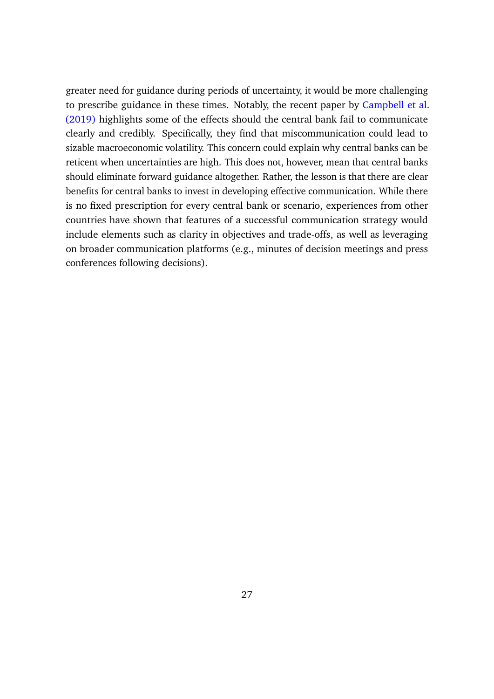greater need for guidance during periods of uncertainty, it would be more challenging to prescribe guidance in these times. Notably, the recent paper by Campbell et al. (2019) highlights some of the effects should the central bank fail to communicate clearly and credibly. Specifically, they find that miscommunication could lead to sizable macroeconomic volatility. This concern could explain why central banks can be reticent when uncertainties are high. This does not, however, mean that central banks should eliminate forward guidance altogether. Rather, the lesson is that there are clear benefits for central banks to invest in developing effective communication. While there is no fixed prescription for every central bank or scenario, experiences from other countries have shown that features of a successful communication strategy would include elements such as clarity in objectives and trade-offs, as well as leveraging on broader communication platforms (e.g., minutes of decision meetings and press conferences following decisions).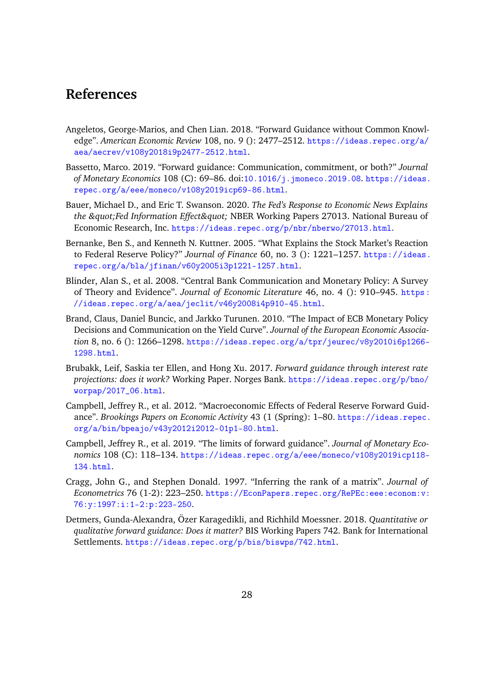## **References**

- Angeletos, George-Marios, and Chen Lian. 2018. "Forward Guidance without Common Knowledge". *American Economic Review* 108, no. 9 (): 2477–2512. https://ideas.repec.org/a/ aea/aecrev/v108y2018i9p2477-2512.html.
- Bassetto, Marco. 2019. "Forward guidance: Communication, commitment, or both?" *Journal of Monetary Economics* 108 (C): 69–86. doi:10.1016/j.jmoneco.2019.08. https://ideas. repec.org/a/eee/moneco/v108y2019icp69-86.html.
- Bauer, Michael D., and Eric T. Swanson. 2020. *The Fed's Response to Economic News Explains the "Fed Information Effect" NBER Working Papers 27013. National Bureau of* Economic Research, Inc. https://ideas.repec.org/p/nbr/nberwo/27013.html.
- Bernanke, Ben S., and Kenneth N. Kuttner. 2005. "What Explains the Stock Market's Reaction to Federal Reserve Policy?" *Journal of Finance* 60, no. 3 (): 1221–1257. https://ideas. repec.org/a/bla/jfinan/v60y2005i3p1221-1257.html.
- Blinder, Alan S., et al. 2008. "Central Bank Communication and Monetary Policy: A Survey of Theory and Evidence". *Journal of Economic Literature* 46, no. 4 (): 910–945. https : //ideas.repec.org/a/aea/jeclit/v46y2008i4p910-45.html.
- Brand, Claus, Daniel Buncic, and Jarkko Turunen. 2010. "The Impact of ECB Monetary Policy Decisions and Communication on the Yield Curve". *Journal of the European Economic Association* 8, no. 6 (): 1266–1298. https://ideas.repec.org/a/tpr/jeurec/v8y2010i6p1266- 1298.html.
- Brubakk, Leif, Saskia ter Ellen, and Hong Xu. 2017. *Forward guidance through interest rate projections: does it work?* Working Paper. Norges Bank. https://ideas.repec.org/p/bno/ worpap/2017\_06.html.
- Campbell, Jeffrey R., et al. 2012. "Macroeconomic Effects of Federal Reserve Forward Guidance". *Brookings Papers on Economic Activity* 43 (1 (Spring): 1–80. https://ideas.repec. org/a/bin/bpeajo/v43y2012i2012-01p1-80.html.
- Campbell, Jeffrey R., et al. 2019. "The limits of forward guidance". *Journal of Monetary Economics* 108 (C): 118–134. https://ideas.repec.org/a/eee/moneco/v108y2019icp118- 134.html.
- Cragg, John G., and Stephen Donald. 1997. "Inferring the rank of a matrix". *Journal of Econometrics* 76 (1-2): 223–250. https://EconPapers.repec.org/RePEc:eee:econom:v: 76:y:1997:i:1-2:p:223-250.
- Detmers, Gunda-Alexandra, Özer Karagedikli, and Richhild Moessner. 2018. *Quantitative or qualitative forward guidance: Does it matter?* BIS Working Papers 742. Bank for International Settlements. https://ideas.repec.org/p/bis/biswps/742.html.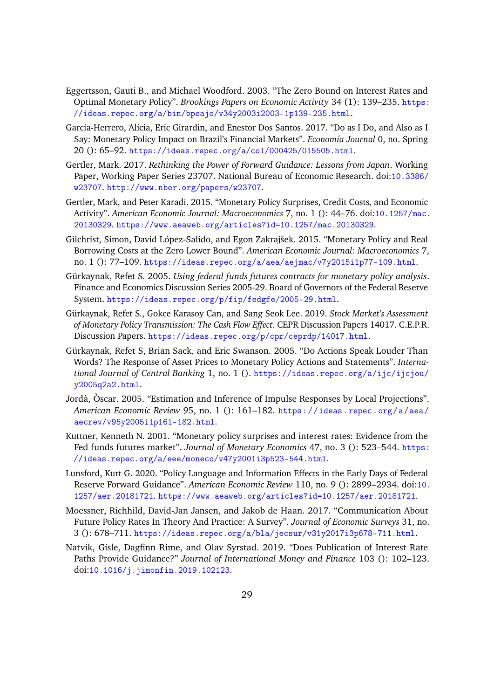- Eggertsson, Gauti B., and Michael Woodford. 2003. "The Zero Bound on Interest Rates and Optimal Monetary Policy". *Brookings Papers on Economic Activity* 34 (1): 139–235. https: //ideas.repec.org/a/bin/bpeajo/v34y2003i2003-1p139-235.html.
- Garcia-Herrero, Alicia, Eric Girardin, and Enestor Dos Santos. 2017. "Do as I Do, and Also as I Say: Monetary Policy Impact on Brazil's Financial Markets". *Economía Journal* 0, no. Spring 20 (): 65–92. https://ideas.repec.org/a/col/000425/015505.html.
- Gertler, Mark. 2017. *Rethinking the Power of Forward Guidance: Lessons from Japan*. Working Paper, Working Paper Series 23707. National Bureau of Economic Research. doi:10.3386/ w23707. http://www.nber.org/papers/w23707.
- Gertler, Mark, and Peter Karadi. 2015. "Monetary Policy Surprises, Credit Costs, and Economic Activity". *American Economic Journal: Macroeconomics* 7, no. 1 (): 44–76. doi:10.1257/mac. 20130329. https://www.aeaweb.org/articles?id=10.1257/mac.20130329.
- Gilchrist, Simon, David López-Salido, and Egon Zakrajšek. 2015. "Monetary Policy and Real Borrowing Costs at the Zero Lower Bound". *American Economic Journal: Macroeconomics* 7, no. 1 (): 77–109. https://ideas.repec.org/a/aea/aejmac/v7y2015i1p77-109.html.
- Gürkaynak, Refet S. 2005. *Using federal funds futures contracts for monetary policy analysis*. Finance and Economics Discussion Series 2005-29. Board of Governors of the Federal Reserve System. https://ideas.repec.org/p/fip/fedgfe/2005-29.html.
- Gürkaynak, Refet S., Gokce Karasoy Can, and Sang Seok Lee. 2019. *Stock Market's Assessment of Monetary Policy Transmission: The Cash Flow Effect*. CEPR Discussion Papers 14017. C.E.P.R. Discussion Papers. https://ideas.repec.org/p/cpr/ceprdp/14017.html.
- Gürkaynak, Refet S, Brian Sack, and Eric Swanson. 2005. "Do Actions Speak Louder Than Words? The Response of Asset Prices to Monetary Policy Actions and Statements". *International Journal of Central Banking* 1, no. 1 (). https://ideas.repec.org/a/ijc/ijcjou/ y2005q2a2.html.
- Jordà, Òscar. 2005. "Estimation and Inference of Impulse Responses by Local Projections". *American Economic Review* 95, no. 1 (): 161–182. https://ideas.repec.org/a/aea/ aecrev/v95y2005i1p161-182.html.
- Kuttner, Kenneth N. 2001. "Monetary policy surprises and interest rates: Evidence from the Fed funds futures market". *Journal of Monetary Economics* 47, no. 3 (): 523–544. https: //ideas.repec.org/a/eee/moneco/v47y2001i3p523-544.html.
- Lunsford, Kurt G. 2020. "Policy Language and Information Effects in the Early Days of Federal Reserve Forward Guidance". *American Economic Review* 110, no. 9 (): 2899–2934. doi:10. 1257/aer.20181721. https://www.aeaweb.org/articles?id=10.1257/aer.20181721.
- Moessner, Richhild, David-Jan Jansen, and Jakob de Haan. 2017. "Communication About Future Policy Rates In Theory And Practice: A Survey". *Journal of Economic Surveys* 31, no. 3 (): 678–711. https://ideas.repec.org/a/bla/jecsur/v31y2017i3p678-711.html.
- Natvik, Gisle, Dagfinn Rime, and Olav Syrstad. 2019. "Does Publication of Interest Rate Paths Provide Guidance?" *Journal of International Money and Finance* 103 (): 102–123. doi:10.1016/j.jimonfin.2019.102123.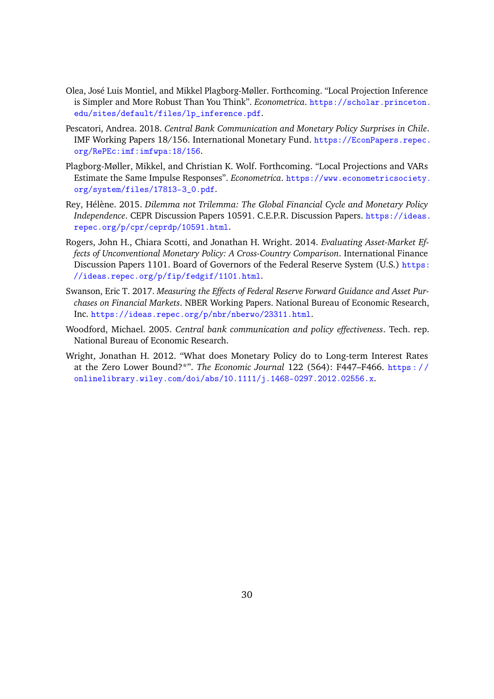- Olea, José Luis Montiel, and Mikkel Plagborg-Møller. Forthcoming. "Local Projection Inference is Simpler and More Robust Than You Think". *Econometrica*. https://scholar.princeton. edu/sites/default/files/lp\_inference.pdf.
- Pescatori, Andrea. 2018. *Central Bank Communication and Monetary Policy Surprises in Chile*. IMF Working Papers 18/156. International Monetary Fund. https://EconPapers.repec. org/RePEc:imf:imfwpa:18/156.
- Plagborg-Møller, Mikkel, and Christian K. Wolf. Forthcoming. "Local Projections and VARs Estimate the Same Impulse Responses". *Econometrica*. https://www.econometricsociety. org/system/files/17813-3\_0.pdf.
- Rey, Hélène. 2015. *Dilemma not Trilemma: The Global Financial Cycle and Monetary Policy Independence*. CEPR Discussion Papers 10591. C.E.P.R. Discussion Papers. https://ideas. repec.org/p/cpr/ceprdp/10591.html.
- Rogers, John H., Chiara Scotti, and Jonathan H. Wright. 2014. *Evaluating Asset-Market Effects of Unconventional Monetary Policy: A Cross-Country Comparison*. International Finance Discussion Papers 1101. Board of Governors of the Federal Reserve System (U.S.) https: //ideas.repec.org/p/fip/fedgif/1101.html.
- Swanson, Eric T. 2017. *Measuring the Effects of Federal Reserve Forward Guidance and Asset Purchases on Financial Markets*. NBER Working Papers. National Bureau of Economic Research, Inc. https://ideas.repec.org/p/nbr/nberwo/23311.html.
- Woodford, Michael. 2005. *Central bank communication and policy effectiveness*. Tech. rep. National Bureau of Economic Research.
- Wright, Jonathan H. 2012. "What does Monetary Policy do to Long-term Interest Rates at the Zero Lower Bound?\*". *The Economic Journal* 122 (564): F447–F466. https : / / onlinelibrary.wiley.com/doi/abs/10.1111/j.1468-0297.2012.02556.x.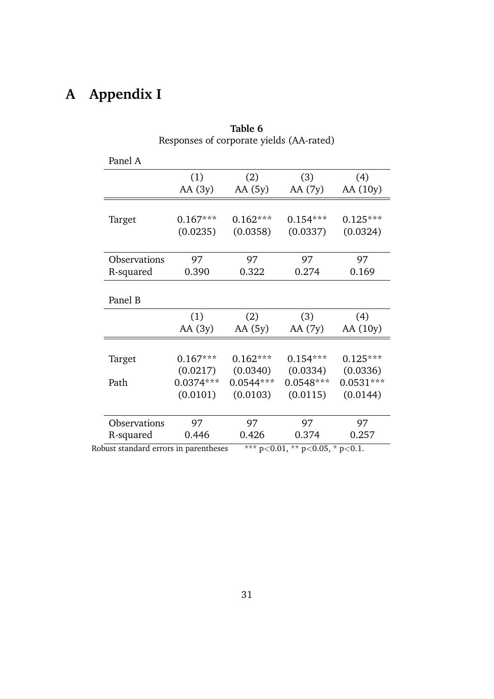# **A Appendix I**

|                     | (1)                     | (2)                     | (3)                     | (4)                     |
|---------------------|-------------------------|-------------------------|-------------------------|-------------------------|
|                     | AA $(3y)$               | AA(5y)                  | AA (7y)                 | AA (10y)                |
| Target              | $0.167***$              | $0.162***$              | $0.154***$              | $0.125***$              |
|                     | (0.0235)                | (0.0358)                | (0.0337)                | (0.0324)                |
| Observations        | 97                      | 97                      | 97                      | 97                      |
| R-squared           | 0.390                   | 0.322                   | 0.274                   | 0.169                   |
| Panel B             |                         |                         |                         |                         |
|                     | (1)                     | (2)                     | (3)                     | (4)                     |
|                     | AA $(3y)$               | AA (5y)                 | AA (7y)                 | AA (10y)                |
|                     |                         |                         |                         |                         |
| Target              | $0.167***$              | $0.162***$              | $0.154***$              | $0.125***$              |
|                     | (0.0217)<br>$0.0374***$ | (0.0340)<br>$0.0544***$ | (0.0334)<br>$0.0548***$ | (0.0336)<br>$0.0531***$ |
|                     |                         | (0.0103)                | (0.0115)                | (0.0144)                |
| Path                | (0.0101)                |                         |                         |                         |
| <b>Observations</b> | 97                      | 97                      | 97                      | 97                      |

| Table 6                                  |
|------------------------------------------|
| Responses of corporate yields (AA-rated) |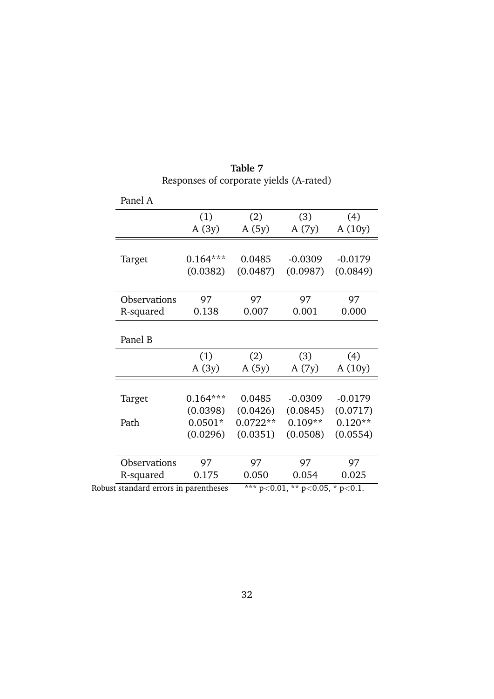| Table 7                                 |  |
|-----------------------------------------|--|
| Responses of corporate yields (A-rated) |  |

| Panel A             |            |            |           |           |
|---------------------|------------|------------|-----------|-----------|
|                     | (1)        | (2)        | (3)       | (4)       |
|                     | A(3y)      | A(5y)      | A(7y)     | A(10y)    |
| Target              | $0.164***$ | 0.0485     | $-0.0309$ | $-0.0179$ |
|                     | (0.0382)   | (0.0487)   | (0.0987)  | (0.0849)  |
| <b>Observations</b> | 97         | 97         | 97        | 97        |
| R-squared           | 0.138      | 0.007      | 0.001     | 0.000     |
| Panel B             |            |            |           |           |
|                     | (1)        | (2)        | (3)       | (4)       |
|                     | A(3y)      | A(5y)      | A(7y)     | A(10y)    |
| Target              | $0.164***$ | 0.0485     | $-0.0309$ | $-0.0179$ |
|                     | (0.0398)   | (0.0426)   | (0.0845)  | (0.0717)  |
| Path                | $0.0501*$  | $0.0722**$ | $0.109**$ | $0.120**$ |
|                     | (0.0296)   | (0.0351)   | (0.0508)  | (0.0554)  |
| Observations        | 97         | 97         | 97        | 97        |
| R-squared           | 0.175      | 0.050      | 0.054     | 0.025     |
|                     |            |            |           |           |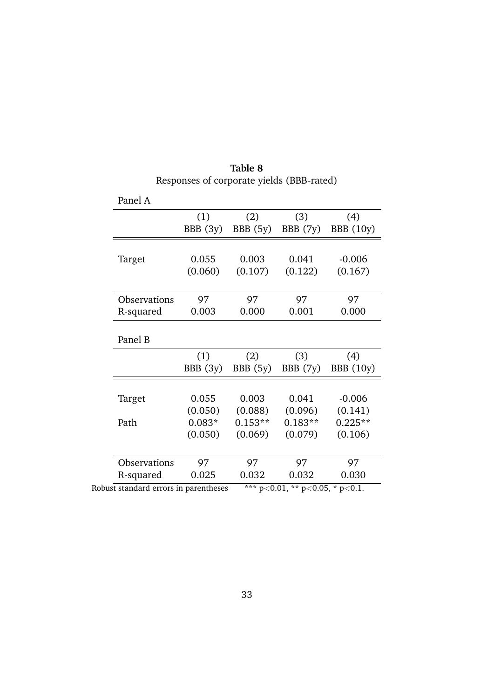|              | (1)<br>BBB(3y)      | (2)<br>BBB(5y)       | (3)<br>BBB (7y)      | (4)<br><b>BBB</b> (10y)                           |
|--------------|---------------------|----------------------|----------------------|---------------------------------------------------|
|              |                     |                      |                      |                                                   |
| Target       | 0.055               | 0.003                | 0.041                | $-0.006$                                          |
|              | (0.060)             | (0.107)              | (0.122)              | (0.167)                                           |
| Observations | 97                  | 97                   | 97                   | 97                                                |
| R-squared    | 0.003               | 0.000                | 0.001                | 0.000                                             |
| Panel B      |                     |                      |                      |                                                   |
|              | (1)<br>BBB(3y)      | (2)<br>BBB(5y)       | (3)<br>BBB (7y)      | (4)                                               |
|              |                     |                      |                      | <b>BBB</b> (10y)                                  |
| Target       | 0.055               | 0.003                | 0.041                |                                                   |
|              | (0.050)             | (0.088)              | (0.096)              |                                                   |
| Path         | $0.083*$<br>(0.050) | $0.153**$<br>(0.069) | $0.183**$<br>(0.079) |                                                   |
| Observations | 97                  | 97                   | 97                   | $-0.006$<br>(0.141)<br>$0.225**$<br>(0.106)<br>97 |

**Table 8** Responses of corporate yields (BBB-rated)